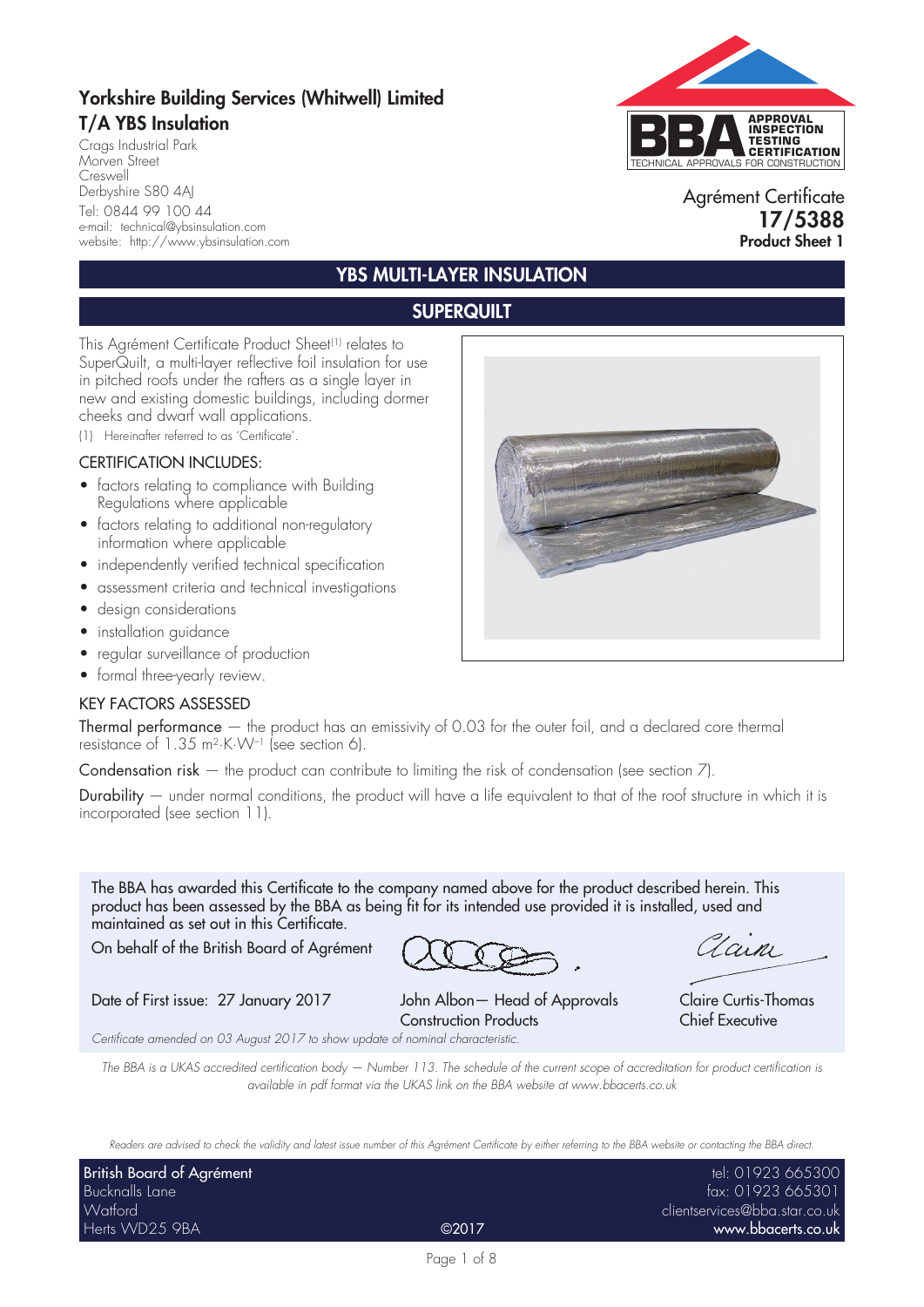# Yorkshire Building Services (Whitwell) Limited T/A YBS Insulation

Crags Industrial Park Morven Street Creswell Derbyshire S80 4AJ Tel: 0844 99 100 44 e-mail: technical@ybsinsulation.com website: http://www.ybsinsulation.com



#### Agrément Certificate 17/5388 Product Sheet 1

# YBS MULTI-LAYER INSULATION

### **SUPERQUILT**

This Agrément Certificate Product Sheet(1) relates to SuperQuilt, a multi-layer reflective foil insulation for use in pitched roofs under the rafters as a single layer in new and existing domestic buildings, including dormer cheeks and dwarf wall applications.

(1) Hereinafter referred to as 'Certificate'.

#### CERTIFICATION INCLUDES:

- factors relating to compliance with Building Regulations where applicable
- factors relating to additional non-regulatory information where applicable
- independently verified technical specification
- assessment criteria and technical investigations
- design considerations
- installation guidance
- regular surveillance of production
- formal three-yearly review.

#### KEY FACTORS ASSESSED

Thermal performance — the product has an emissivity of 0.03 for the outer foil, and a declared core thermal resistance of 1.35 m2·K·W–1 (see section 6).

Condensation risk  $-$  the product can contribute to limiting the risk of condensation (see section  $7$ ).

Durability  $-$  under normal conditions, the product will have a life equivalent to that of the roof structure in which it is incorporated (see section 11).

The BBA has awarded this Certificate to the company named above for the product described herein. This product has been assessed by the BBA as being fit for its intended use provided it is installed, used and maintained as set out in this Certificate.

On behalf of the British Board of Agrément

Date of First issue: 27 January 2017 John Albon - Head of Approvals Claire Curtis-Thomas

Construction Products Chief Executive

Lain

*Certificate amended on 03 August 2017 to show update of nominal characteristic.*

*The BBA is a UKAS accredited certification body — Number 113. The schedule of the current scope of accreditation for product certification is available in pdf format via the UKAS link on the BBA website at www.bbacerts.co.uk*

*Readers are advised to check the validity and latest issue number of this Agrément Certificate by either referring to the BBA website or contacting the BBA direct.*

| British Board of Agrément |       | tel: 01923 665300             |
|---------------------------|-------|-------------------------------|
| Bucknalls Lane            |       | fax: 01923 665301             |
| Watford                   |       | clientservices@bba.star.co.uk |
| Herts WD25 9BA            | ©2017 | www.bbacerts.co.uk            |

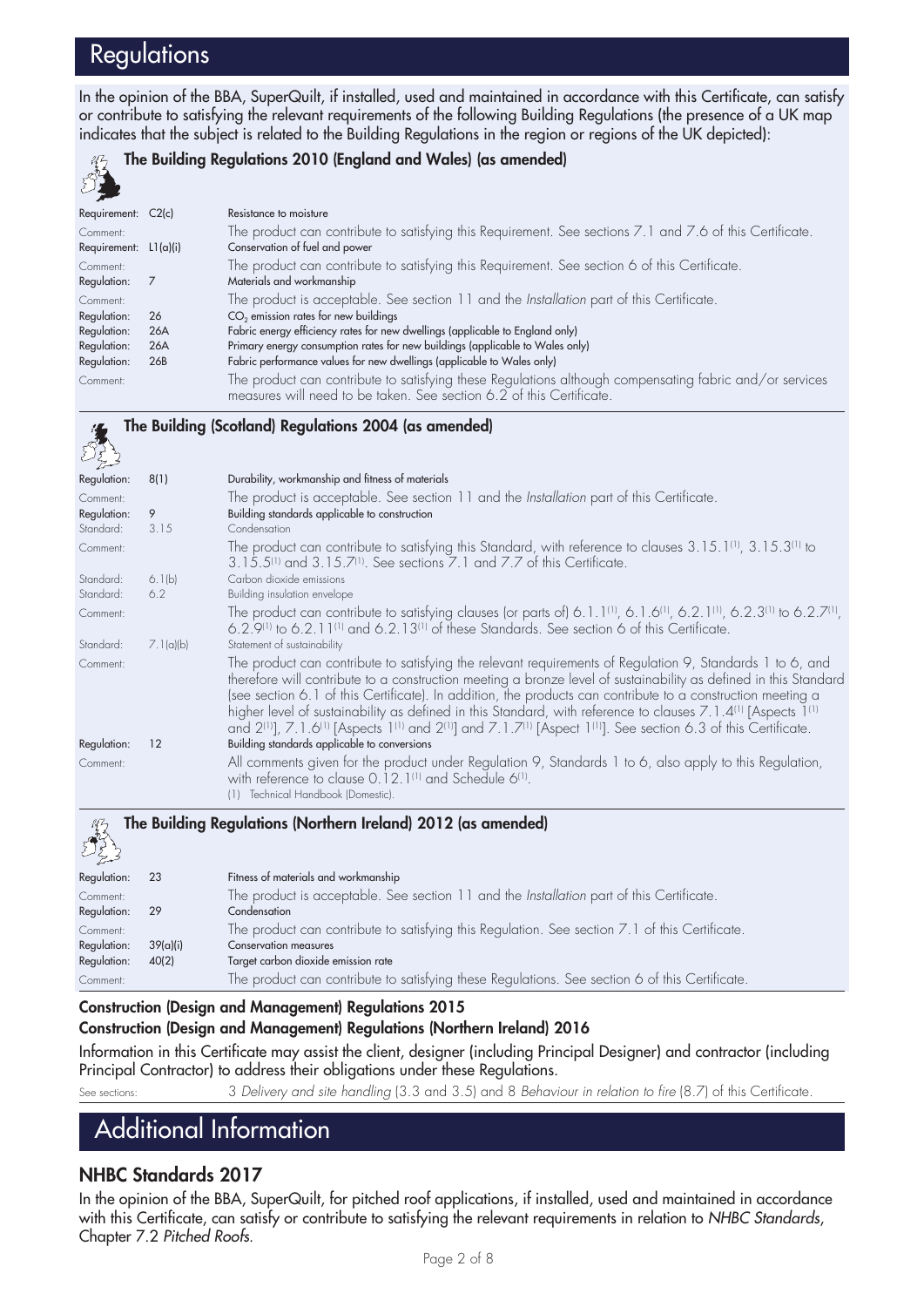# **Regulations**

In the opinion of the BBA, SuperQuilt, if installed, used and maintained in accordance with this Certificate, can satisfy or contribute to satisfying the relevant requirements of the following Building Regulations (the presence of a UK map indicates that the subject is related to the Building Regulations in the region or regions of the UK depicted):



#### The Building Regulations 2010 (England and Wales) (as amended)

| Requirement: C2(c)      |                 | Resistance to moisture                                                                                   |
|-------------------------|-----------------|----------------------------------------------------------------------------------------------------------|
| Comment:                |                 | The product can contribute to satisfying this Requirement. See sections 7.1 and 7.6 of this Certificate. |
| Requirement: $L1(a)(i)$ |                 | Conservation of fuel and power                                                                           |
| Comment:                |                 | The product can contribute to satisfying this Requirement. See section 6 of this Certificate.            |
| Regulation:             |                 | Materials and workmanship                                                                                |
| Comment:                |                 | The product is acceptable. See section 11 and the Installation part of this Certificate.                 |
| Regulation:             | 26              | CO <sub>2</sub> emission rates for new buildings                                                         |
| Regulation:             | 26A             | Fabric energy efficiency rates for new dwellings (applicable to England only)                            |
| Regulation:             | 26A             | Primary energy consumption rates for new buildings (applicable to Wales only)                            |
| Regulation:             | 26 <sub>B</sub> | Fabric performance values for new dwellings (applicable to Wales only)                                   |
| Comment:                |                 | The product can contribute to satisfying these Regulations although compensating fabric and/or services  |
|                         |                 | measures will need to be taken. See section 6.2 of this Certificate.                                     |

#### The Building (Scotland) Regulations 2004 (as amended) 4

| Regulation: | 8(1)      | Durability, workmanship and fitness of materials                                                                                                                                                                                                                                                                                                                                                                                                                                                                                                                                                                                                                  |
|-------------|-----------|-------------------------------------------------------------------------------------------------------------------------------------------------------------------------------------------------------------------------------------------------------------------------------------------------------------------------------------------------------------------------------------------------------------------------------------------------------------------------------------------------------------------------------------------------------------------------------------------------------------------------------------------------------------------|
| Comment:    |           | The product is acceptable. See section 11 and the Installation part of this Certificate.                                                                                                                                                                                                                                                                                                                                                                                                                                                                                                                                                                          |
| Regulation: | 9         | Building standards applicable to construction                                                                                                                                                                                                                                                                                                                                                                                                                                                                                                                                                                                                                     |
| Standard:   | 3.15      | Condensation                                                                                                                                                                                                                                                                                                                                                                                                                                                                                                                                                                                                                                                      |
| Comment:    |           | The product can contribute to satisfying this Standard, with reference to clauses 3.15.1 <sup>(1)</sup> , 3.15.3 <sup>(1)</sup> to<br>3.15.5 <sup>(1)</sup> and 3.15.7 <sup>(1)</sup> . See sections 7.1 and 7.7 of this Certificate.                                                                                                                                                                                                                                                                                                                                                                                                                             |
| Standard:   | 6.1(b)    | Carbon dioxide emissions                                                                                                                                                                                                                                                                                                                                                                                                                                                                                                                                                                                                                                          |
| Standard:   | 6.2       | Building insulation envelope                                                                                                                                                                                                                                                                                                                                                                                                                                                                                                                                                                                                                                      |
| Comment:    |           | The product can contribute to satisfying clauses (or parts of) 6.1.1(1), 6.1.6(1), 6.2.1(1), 6.2.3(1) to 6.2.7(1),<br>6.2.9 <sup>(1)</sup> to 6.2.11 <sup>(1)</sup> and 6.2.13 <sup>(1)</sup> of these Standards. See section 6 of this Certificate.                                                                                                                                                                                                                                                                                                                                                                                                              |
| Standard:   | 7.1(a)(b) | Statement of sustainability                                                                                                                                                                                                                                                                                                                                                                                                                                                                                                                                                                                                                                       |
| Comment:    |           | The product can contribute to satisfying the relevant requirements of Regulation 9, Standards 1 to 6, and<br>therefore will contribute to a construction meeting a bronze level of sustainability as defined in this Standard<br>(see section 6.1 of this Certificate). In addition, the products can contribute to a construction meeting a<br>higher level of sustainability as defined in this Standard, with reference to clauses 7.1.4 <sup>(1)</sup> [Aspects 1 <sup>(1)</sup><br>and $2^{(1)}$ ], 7.1.6 <sup>(1)</sup> [Aspects 1 <sup>(1)</sup> and $2^{(1)}$ ] and 7.1.7 <sup>(1)</sup> [Aspect 1 <sup>(1)</sup> ]. See section 6.3 of this Certificate. |
| Regulation: | 12        | Building standards applicable to conversions                                                                                                                                                                                                                                                                                                                                                                                                                                                                                                                                                                                                                      |
| Comment:    |           | All comments given for the product under Regulation 9, Standards 1 to 6, also apply to this Regulation,<br>with reference to clause 0.12.1 <sup>(1)</sup> and Schedule 6 <sup>(1)</sup> .<br>Technical Handbook (Domestic).<br>(1)                                                                                                                                                                                                                                                                                                                                                                                                                                |

| كحميل       |          |                                                                                                |
|-------------|----------|------------------------------------------------------------------------------------------------|
| Regulation: | 23       | Fitness of materials and workmanship                                                           |
| Comment:    |          | The product is acceptable. See section 11 and the Installation part of this Certificate.       |
| Regulation: | -29      | Condensation                                                                                   |
| Comment:    |          | The product can contribute to satisfying this Regulation. See section 7.1 of this Certificate. |
| Regulation: | 39(a)(i) | Conservation measures                                                                          |
| Regulation: | 40(2)    | Target carbon dioxide emission rate                                                            |
| Comment:    |          | The product can contribute to satisfying these Regulations. See section 6 of this Certificate. |

Construction (Design and Management) Regulations 2015

#### Construction (Design and Management) Regulations (Northern Ireland) 2016

The Building Regulations (Northern Ireland) 2012 (as amended)

Information in this Certificate may assist the client, designer (including Principal Designer) and contractor (including Principal Contractor) to address their obligations under these Regulations.

See sections: 3 *Delivery and site handling* (3.3 and 3.5) and 8 *Behaviour in relation to fire* (8.7) of this Certificate.

# Additional Information

#### NHBC Standards 2017

In the opinion of the BBA, SuperQuilt, for pitched roof applications, if installed, used and maintained in accordance with this Certificate, can satisfy or contribute to satisfying the relevant requirements in relation to *NHBC Standards*, Chapter 7.2 *Pitched Roofs*.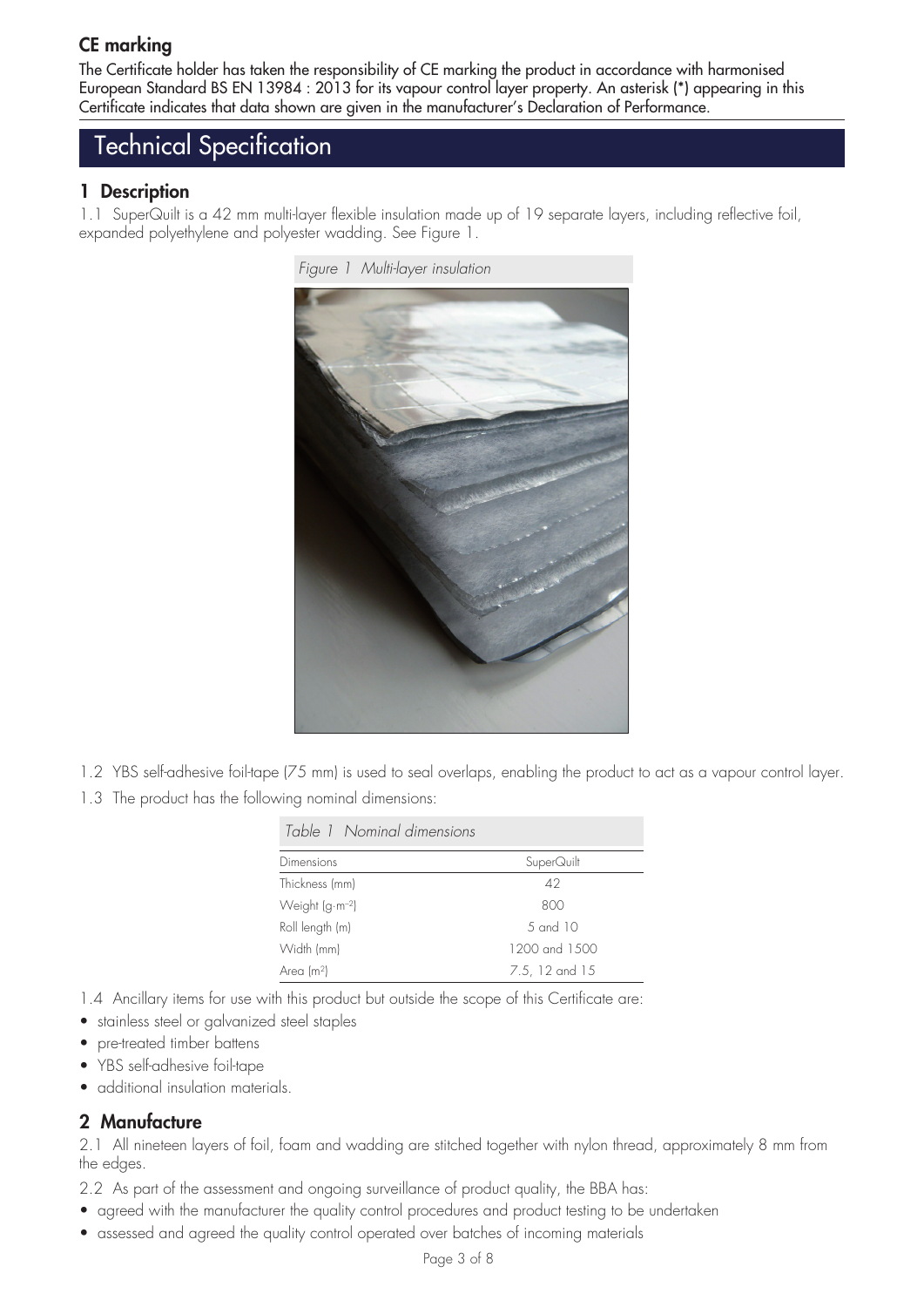# CE marking

The Certificate holder has taken the responsibility of CE marking the product in accordance with harmonised European Standard BS EN 13984 : 2013 for its vapour control layer property. An asterisk (\*) appearing in this Certificate indicates that data shown are given in the manufacturer's Declaration of Performance.

# Technical Specification

#### 1 Description

1.1 SuperQuilt is a 42 mm multi-layer flexible insulation made up of 19 separate layers, including reflective foil, expanded polyethylene and polyester wadding. See Figure 1.



*Figure 1 Multi-layer insulation*

- 1.2 YBS self-adhesive foil-tape (75 mm) is used to seal overlaps, enabling the product to act as a vapour control layer.
- 1.3 The product has the following nominal dimensions:

| Table 1 Nominal dimensions |                |  |
|----------------------------|----------------|--|
| Dimensions                 | SuperQuilt     |  |
| Thickness (mm)             | 42             |  |
| Weight $(g \cdot m^{-2})$  | 800            |  |
| Roll length (m)            | 5 and 10       |  |
| Width (mm)                 | 1200 and 1500  |  |
| Area (m <sup>2</sup> )     | 7.5, 12 and 15 |  |

1.4 Ancillary items for use with this product but outside the scope of this Certificate are:

- stainless steel or galvanized steel staples
- pre-treated timber battens
- YBS self-adhesive foil-tape
- additional insulation materials.

#### 2 Manufacture

2.1 All nineteen layers of foil, foam and wadding are stitched together with nylon thread, approximately 8 mm from the edges.

- 2.2 As part of the assessment and ongoing surveillance of product quality, the BBA has:
- agreed with the manufacturer the quality control procedures and product testing to be undertaken
- assessed and agreed the quality control operated over batches of incoming materials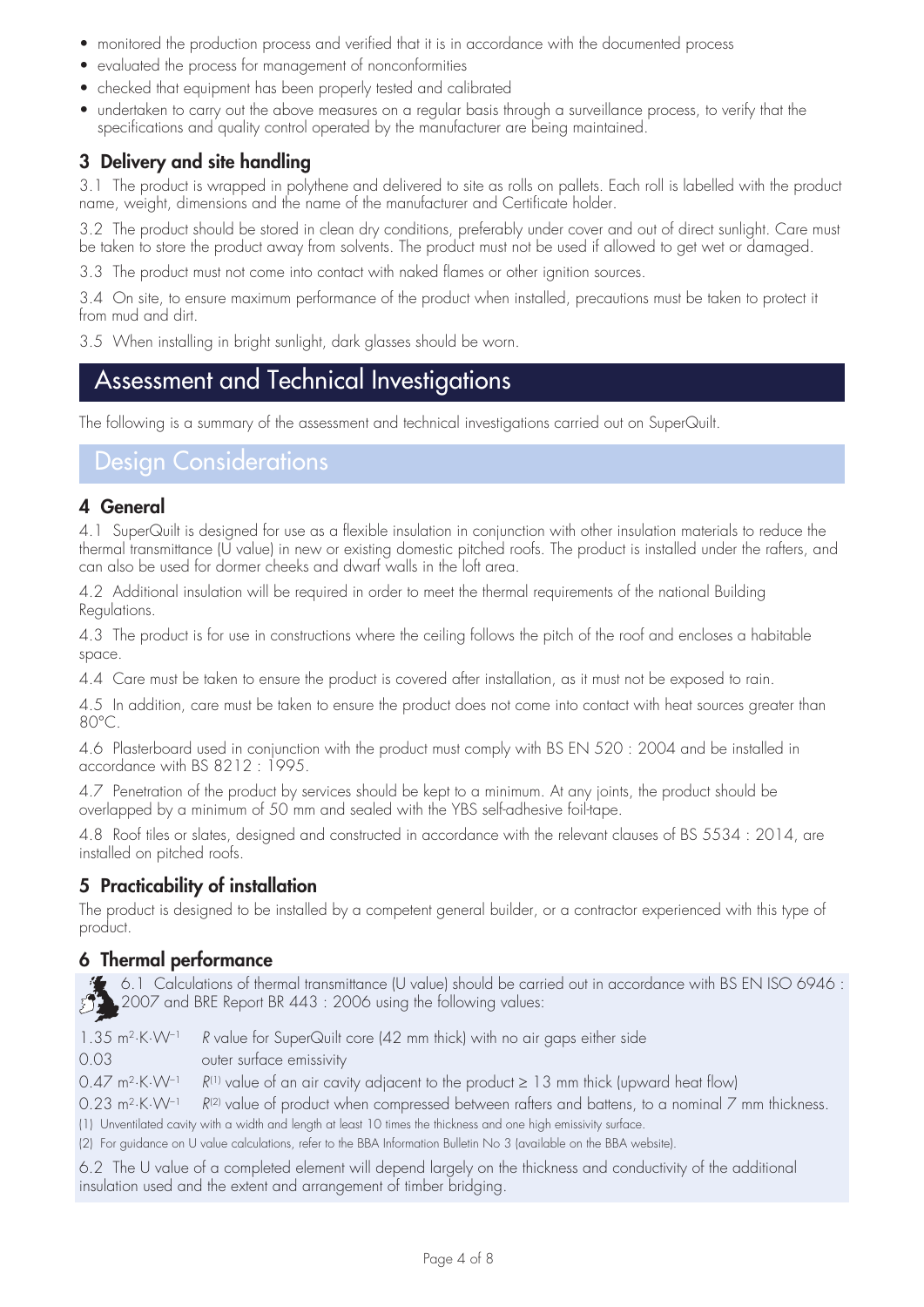- monitored the production process and verified that it is in accordance with the documented process
- evaluated the process for management of nonconformities
- checked that equipment has been properly tested and calibrated
- undertaken to carry out the above measures on a regular basis through a surveillance process, to verify that the specifications and quality control operated by the manufacturer are being maintained.

## 3 Delivery and site handling

3.1 The product is wrapped in polythene and delivered to site as rolls on pallets. Each roll is labelled with the product name, weight, dimensions and the name of the manufacturer and Certificate holder.

3.2 The product should be stored in clean dry conditions, preferably under cover and out of direct sunlight. Care must be taken to store the product away from solvents. The product must not be used if allowed to get wet or damaged.

3.3 The product must not come into contact with naked flames or other ignition sources.

3.4 On site, to ensure maximum performance of the product when installed, precautions must be taken to protect it from mud and dirt.

3.5 When installing in bright sunlight, dark glasses should be worn.

# Assessment and Technical Investigations

The following is a summary of the assessment and technical investigations carried out on SuperQuilt.

# Design Considerations

#### 4 General

4.1 SuperQuilt is designed for use as a flexible insulation in conjunction with other insulation materials to reduce the thermal transmittance (U value) in new or existing domestic pitched roofs. The product is installed under the rafters, and can also be used for dormer cheeks and dwarf walls in the loft area.

4.2 Additional insulation will be required in order to meet the thermal requirements of the national Building Regulations.

4.3 The product is for use in constructions where the ceiling follows the pitch of the roof and encloses a habitable space.

4.4 Care must be taken to ensure the product is covered after installation, as it must not be exposed to rain.

4.5 In addition, care must be taken to ensure the product does not come into contact with heat sources greater than 80°C.

4.6 Plasterboard used in conjunction with the product must comply with BS EN 520 : 2004 and be installed in accordance with BS 8212 : 1995.

4.7 Penetration of the product by services should be kept to a minimum. At any joints, the product should be overlapped by a minimum of 50 mm and sealed with the YBS self-adhesive foil-tape.

4.8 Roof tiles or slates, designed and constructed in accordance with the relevant clauses of BS 5534 : 2014, are installed on pitched roofs.

#### 5 Practicability of installation

The product is designed to be installed by a competent general builder, or a contractor experienced with this type of product.

#### 6 Thermal performance

6.1 Calculations of thermal transmittance (U value) should be carried out in accordance with BS EN ISO 6946 : 2007 and BRE Report BR 443 : 2006 using the following values:

1.35 m2·K·W–1 *R* value for SuperQuilt core (42 mm thick) with no air gaps either side

0.03 outer surface emissivity

0.47 m<sup>2</sup>·K·W<sup>-1</sup>  $R^{(1)}$  value of an air cavity adjacent to the product  $\geq$  13 mm thick (upward heat flow)

0.23 m<sup>2</sup>·K·W<sup>-1</sup> *R<sup>(2)</sup> value of product when compressed between rafters and battens, to a nominal 7 mm thickness.* 

(1) Unventilated cavity with a width and length at least 10 times the thickness and one high emissivity surface.

(2) For guidance on U value calculations, refer to the BBA Information Bulletin No 3 (available on the BBA website).

6.2 The U value of a completed element will depend largely on the thickness and conductivity of the additional insulation used and the extent and arrangement of timber bridging.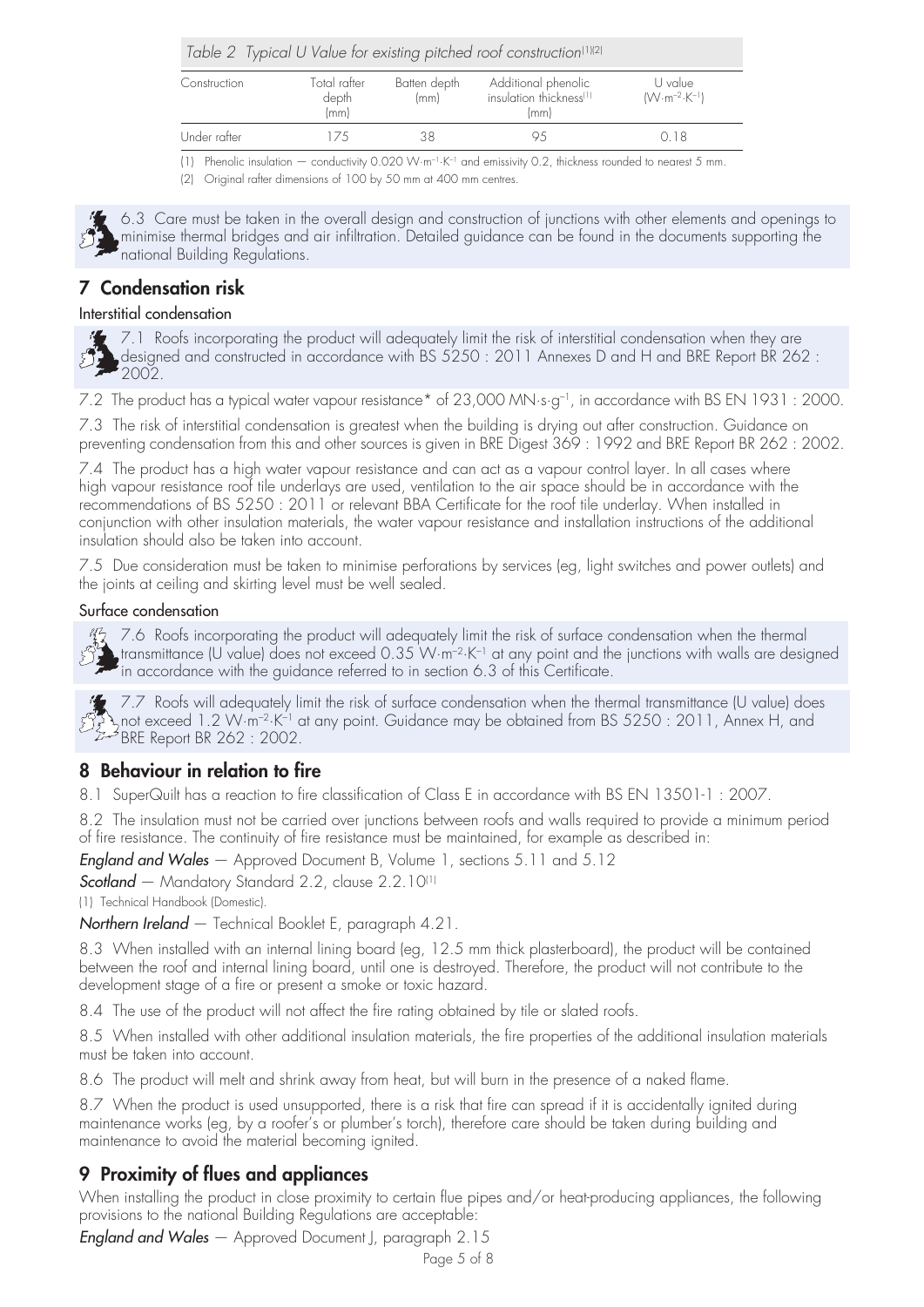|              |                               |                      | Table 2 Typical U Value for existing pitched roof construction <sup>(1)(2)</sup> |                                            |
|--------------|-------------------------------|----------------------|----------------------------------------------------------------------------------|--------------------------------------------|
| Construction | Total rafter<br>depth<br>(mm) | Batten depth<br>(mm) | Additional phenolic<br>insulation thickness <sup>(1)</sup><br>(mm)               | U value<br>$(W \cdot m^{-2} \cdot K^{-1})$ |
| Under rafter | エノト                           | 38                   |                                                                                  | O 18                                       |

(1) Phenolic insulation — conductivity 0.020 W·m–1·K–1 and emissivity 0.2, thickness rounded to nearest 5 mm.

(2) Original rafter dimensions of 100 by 50 mm at 400 mm centres.



6.3 Care must be taken in the overall design and construction of junctions with other elements and openings to minimise thermal bridges and air infiltration. Detailed guidance can be found in the documents supporting the national Building Regulations.

# 7 Condensation risk

#### Interstitial condensation



7.1 Roofs incorporating the product will adequately limit the risk of interstitial condensation when they are designed and constructed in accordance with BS 5250 : 2011 Annexes D and H and BRE Report BR 262 : 2002.

7.2 The product has a typical water vapour resistance\* of 23,000 MN·s·g–1, in accordance with BS EN 1931 : 2000.

7.3 The risk of interstitial condensation is greatest when the building is drying out after construction. Guidance on preventing condensation from this and other sources is given in BRE Digest 369 : 1992 and BRE Report BR 262 : 2002.

7.4 The product has a high water vapour resistance and can act as a vapour control layer. In all cases where high vapour resistance roof tile underlays are used, ventilation to the air space should be in accordance with the recommendations of BS 5250 : 2011 or relevant BBA Certificate for the roof tile underlay. When installed in conjunction with other insulation materials, the water vapour resistance and installation instructions of the additional insulation should also be taken into account.

7.5 Due consideration must be taken to minimise perforations by services (eg, light switches and power outlets) and the joints at ceiling and skirting level must be well sealed.

#### Surface condensation



7.6 Roofs incorporating the product will adequately limit the risk of surface condensation when the thermal transmittance (U value) does not exceed 0.35 W $\cdot$ m<sup>-2</sup> $\cdot$ K<sup>-1</sup> at any point and the junctions with walls are designed in accordance with the guidance referred to in section 6.3 of this Certificate.



第 7.7 Roofs will adequately limit the risk of surface condensation when the thermal transmittance (U value) does not exceed 1.2 W·m–2·K–1 at any point. Guidance may be obtained from BS 5250 : 2011, Annex H, and BRE Report BR 262 : 2002.

## 8 Behaviour in relation to fire

8.1 SuperQuilt has a reaction to fire classification of Class E in accordance with BS EN 13501-1 : 2007.

8.2 The insulation must not be carried over junctions between roofs and walls required to provide a minimum period of fire resistance. The continuity of fire resistance must be maintained, for example as described in:

*England and Wales* — Approved Document B, Volume 1, sections 5.11 and 5.12

*Scotland* — Mandatory Standard 2.2, clause 2.2.10(1)

(1) Technical Handbook (Domestic).

*Northern Ireland* — Technical Booklet E, paragraph 4.21.

8.3 When installed with an internal lining board (eg, 12.5 mm thick plasterboard), the product will be contained between the roof and internal lining board, until one is destroyed. Therefore, the product will not contribute to the development stage of a fire or present a smoke or toxic hazard.

8.4 The use of the product will not affect the fire rating obtained by tile or slated roofs.

8.5 When installed with other additional insulation materials, the fire properties of the additional insulation materials must be taken into account.

8.6 The product will melt and shrink away from heat, but will burn in the presence of a naked flame.

8.7 When the product is used unsupported, there is a risk that fire can spread if it is accidentally ignited during maintenance works (eg, by a roofer's or plumber's torch), therefore care should be taken during building and maintenance to avoid the material becoming ignited.

#### 9 Proximity of flues and appliances

When installing the product in close proximity to certain flue pipes and/or heat-producing appliances, the following provisions to the national Building Regulations are acceptable:

*England and Wales* — Approved Document J, paragraph 2.15

Page 5 of 8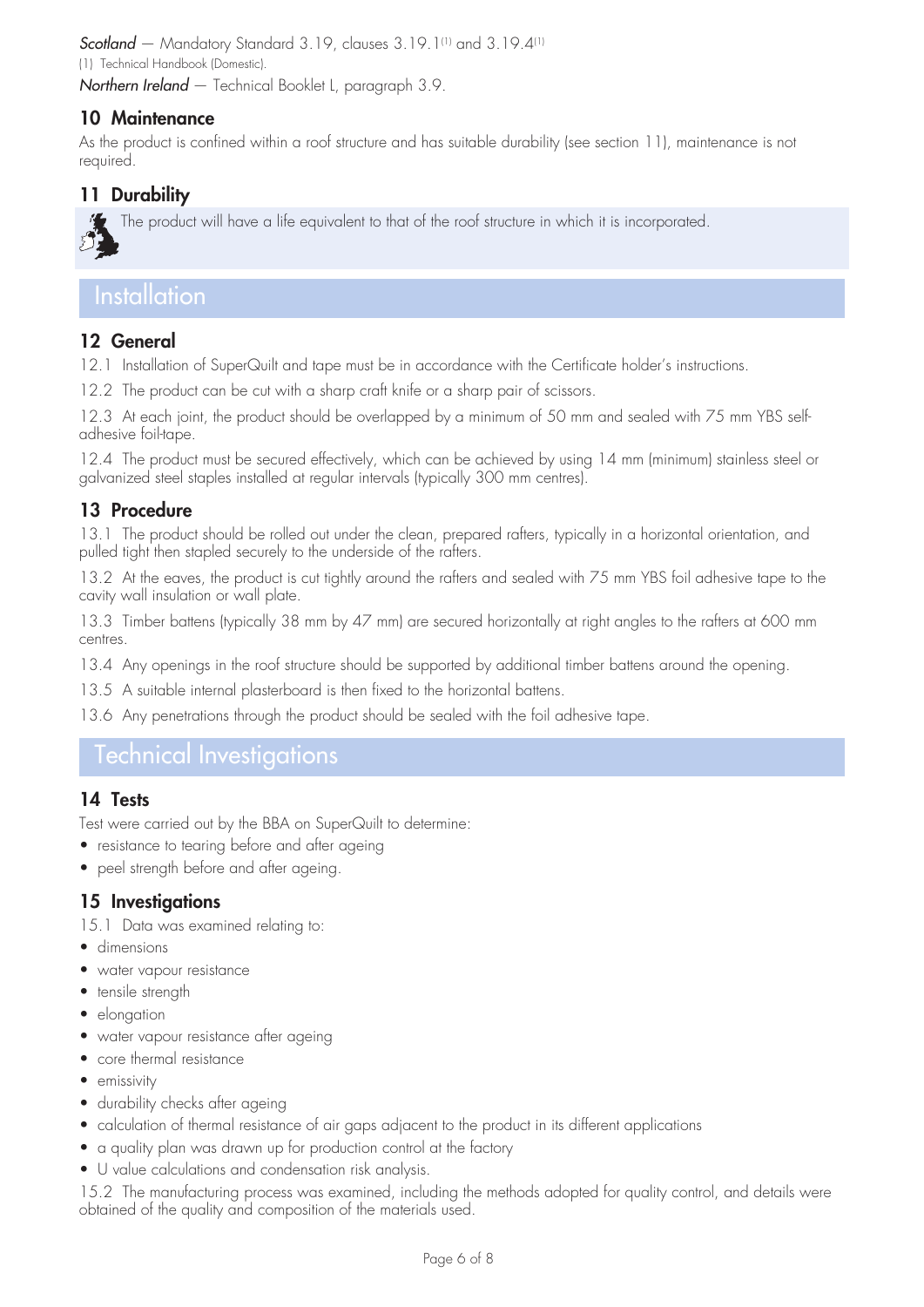*Scotland* — Mandatory Standard 3.19, clauses 3.19.1(1) and 3.19.4(1) (1) Technical Handbook (Domestic).

*Northern Ireland* — Technical Booklet L, paragraph 3.9.

### 10 Maintenance

As the product is confined within a roof structure and has suitable durability (see section 11), maintenance is not required.

## 11 Durability



The product will have a life equivalent to that of the roof structure in which it is incorporated.

# **Installation**

## 12 General

12.1 Installation of SuperQuilt and tape must be in accordance with the Certificate holder's instructions.

12.2 The product can be cut with a sharp craft knife or a sharp pair of scissors.

12.3 At each joint, the product should be overlapped by a minimum of 50 mm and sealed with 75 mm YBS selfadhesive foil-tape.

12.4 The product must be secured effectively, which can be achieved by using 14 mm (minimum) stainless steel or galvanized steel staples installed at regular intervals (typically 300 mm centres).

### 13 Procedure

13.1 The product should be rolled out under the clean, prepared rafters, typically in a horizontal orientation, and pulled tight then stapled securely to the underside of the rafters.

13.2 At the eaves, the product is cut tightly around the rafters and sealed with 75 mm YBS foil adhesive tape to the cavity wall insulation or wall plate.

13.3 Timber battens (typically 38 mm by 47 mm) are secured horizontally at right angles to the rafters at 600 mm centres.

13.4 Any openings in the roof structure should be supported by additional timber battens around the opening.

13.5 A suitable internal plasterboard is then fixed to the horizontal battens.

13.6 Any penetrations through the product should be sealed with the foil adhesive tape.

# Technical Investigations

#### 14 Tests

Test were carried out by the BBA on SuperQuilt to determine:

- resistance to tearing before and after ageing
- peel strength before and after ageing.

#### 15 Investigations

15.1 Data was examined relating to:

- dimensions
- water vapour resistance
- tensile strength
- elongation
- water vapour resistance after ageing
- core thermal resistance
- emissivity
- durability checks after ageing
- • calculation of thermal resistance of air gaps adjacent to the product in its different applications
- a quality plan was drawn up for production control at the factory
- U value calculations and condensation risk analysis.

15.2 The manufacturing process was examined, including the methods adopted for quality control, and details were obtained of the quality and composition of the materials used.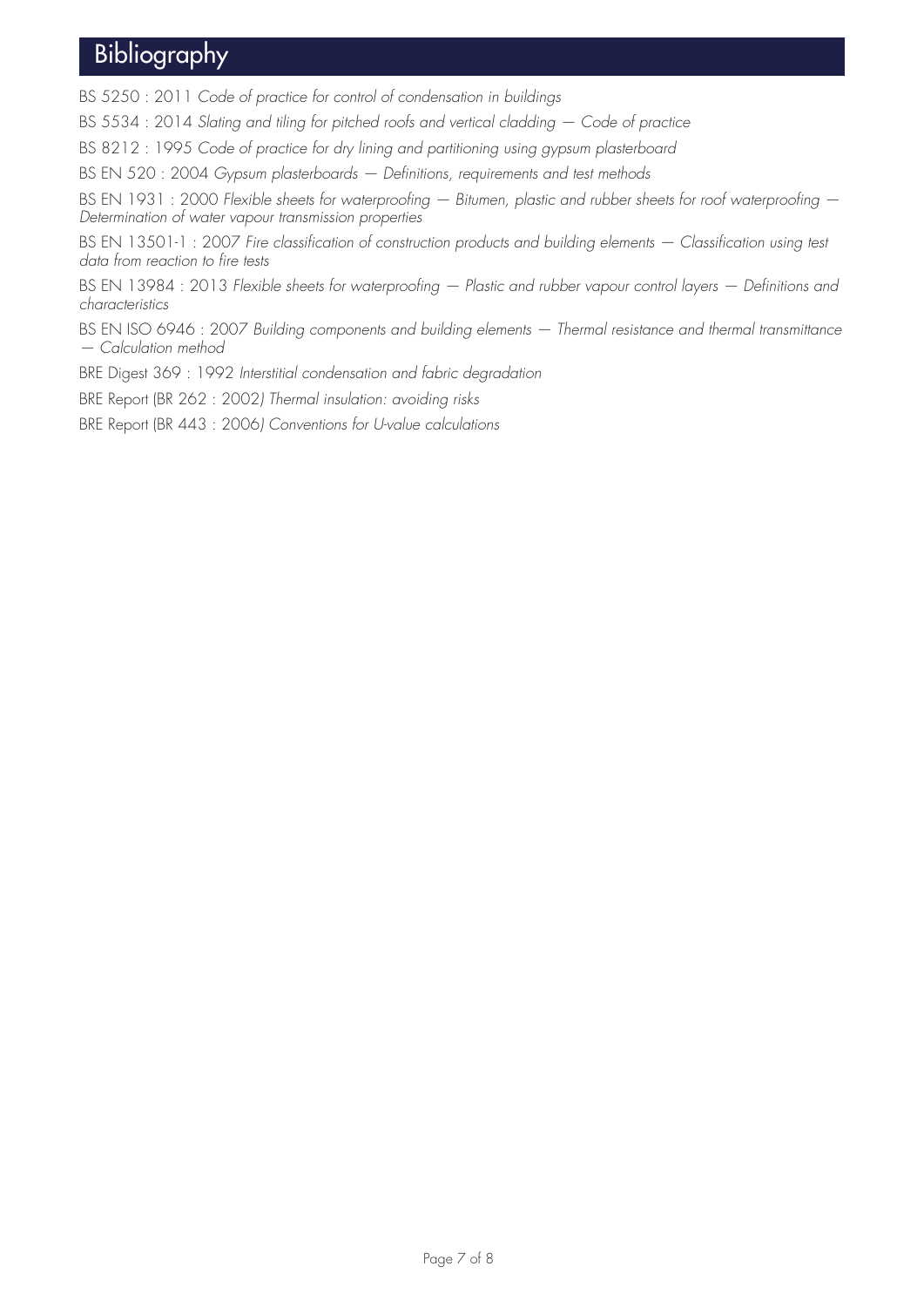# Bibliography

BS 5250 : 2011 *Code of practice for control of condensation in buildings*

BS 5534 : 2014 *Slating and tiling for pitched roofs and vertical cladding — Code of practice*

BS 8212 : 1995 *Code of practice for dry lining and partitioning using gypsum plasterboard*

BS EN 520 : 2004 *Gypsum plasterboards — Definitions, requirements and test methods*

BS EN 1931 : 2000 *Flexible sheets for waterproofing — Bitumen, plastic and rubber sheets for roof waterproofing — Determination of water vapour transmission properties*

BS EN 13501-1: 2007 Fire classification of construction products and building elements - Classification using test *data from reaction to fire tests*

BS EN 13984 : 2013 *Flexible sheets for waterproofing — Plastic and rubber vapour control layers — Definitions and characteristics*

BS EN ISO 6946 : 2007 *Building components and building elements — Thermal resistance and thermal transmittance — Calculation method*

BRE Digest 369 : 1992 *Interstitial condensation and fabric degradation*

BRE Report (BR 262 : 2002*) Thermal insulation: avoiding risks*

BRE Report (BR 443 : 2006*) Conventions for U-value calculations*